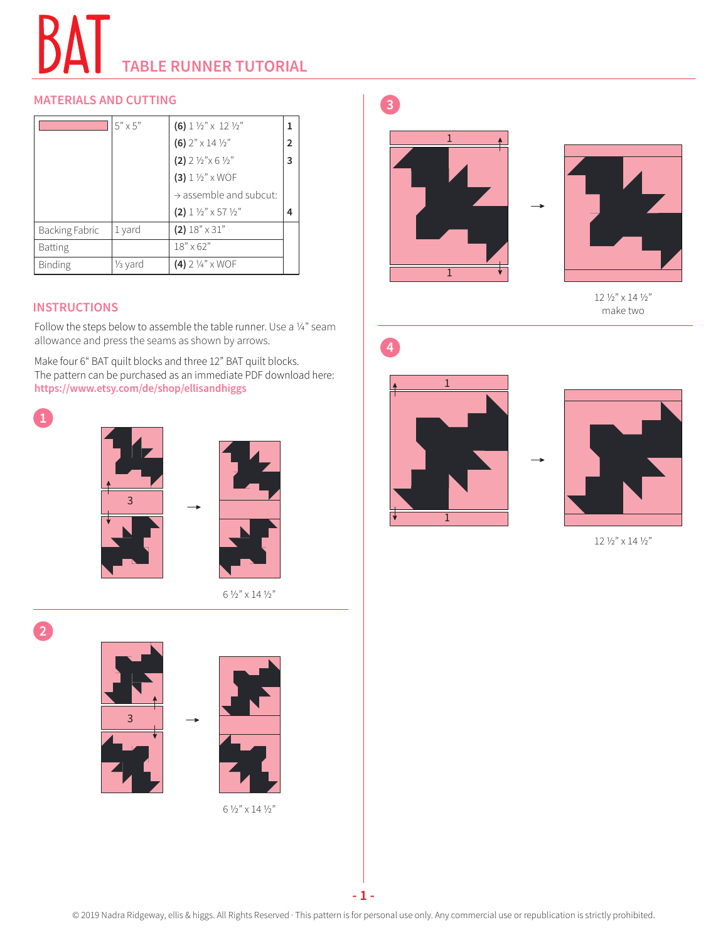## **TABLE RUNNER TUTORIAL**

## **MATERIALS AND CUTTING**

|                | $5" \times 5"$       | (6) $1\frac{1}{2}$ $\times$ 12 $\frac{1}{2}$    |              |
|----------------|----------------------|-------------------------------------------------|--------------|
|                |                      | (6) $2" \times 14 \frac{1}{2}"$                 | $\mathbf{2}$ |
|                |                      | $(2)$ 2 ½" $\times$ 6 ½"                        | 3            |
|                |                      | $(3) 1 1/2$ " x WOF                             |              |
|                |                      | $\rightarrow$ assemble and subcut:              |              |
|                |                      | (2) $1 \frac{1}{2}$ $\times$ 57 $\frac{1}{2}$ " | 4            |
| Backing Fabric | 1 yard               | $(2)$ 18" $\times$ 31"                          |              |
| <b>Batting</b> |                      | $18" \times 62"$                                |              |
| <b>Binding</b> | 1/ <sub>3</sub> yard | $(4)$ 2 1/4" x WOF                              |              |

## **INSTRUCTIONS**

Follow the steps below to assemble the table runner. Use a ¼" seam allowance and press the seams as shown by arrows.

Make four 6" BAT quilt blocks and three 12" BAT quilt blocks. The pattern can be purchased as an immediate PDF download here: **https://www.etsy.com/de/shop/ellisandhiggs**







6 ½" x 14 ½"





12 ½" x 14 ½" make two







 $12$   $\%$  "  $\times$  14  $\%$  "

**2**





6 ½" x 14 ½"